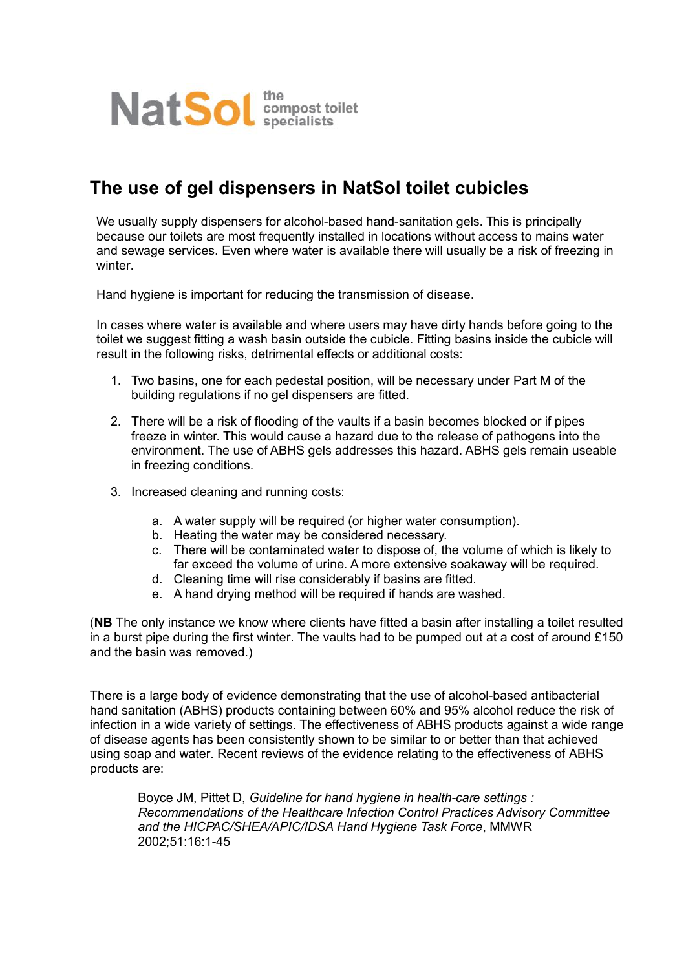

## **The use of gel dispensers in NatSol toilet cubicles**

We usually supply dispensers for alcohol-based hand-sanitation gels. This is principally because our toilets are most frequently installed in locations without access to mains water and sewage services. Even where water is available there will usually be a risk of freezing in winter

Hand hygiene is important for reducing the transmission of disease.

In cases where water is available and where users may have dirty hands before going to the toilet we suggest fitting a wash basin outside the cubicle. Fitting basins inside the cubicle will result in the following risks, detrimental effects or additional costs:

- 1. Two basins, one for each pedestal position, will be necessary under Part M of the building regulations if no gel dispensers are fitted.
- 2. There will be a risk of flooding of the vaults if a basin becomes blocked or if pipes freeze in winter. This would cause a hazard due to the release of pathogens into the environment. The use of ABHS gels addresses this hazard. ABHS gels remain useable in freezing conditions.
- 3. Increased cleaning and running costs:
	- a. A water supply will be required (or higher water consumption).
	- b. Heating the water may be considered necessary.
	- c. There will be contaminated water to dispose of, the volume of which is likely to far exceed the volume of urine. A more extensive soakaway will be required.
	- d. Cleaning time will rise considerably if basins are fitted.
	- e. A hand drying method will be required if hands are washed.

(**NB** The only instance we know where clients have fitted a basin after installing a toilet resulted in a burst pipe during the first winter. The vaults had to be pumped out at a cost of around £150 and the basin was removed.)

There is a large body of evidence demonstrating that the use of alcohol-based antibacterial hand sanitation (ABHS) products containing between 60% and 95% alcohol reduce the risk of infection in a wide variety of settings. The effectiveness of ABHS products against a wide range of disease agents has been consistently shown to be similar to or better than that achieved using soap and water. Recent reviews of the evidence relating to the effectiveness of ABHS products are:

Boyce JM, Pittet D, *Guideline for hand hygiene in health-care settings : Recommendations of the Healthcare Infection Control Practices Advisory Committee and the HICPAC/SHEA/APIC/IDSA Hand Hygiene Task Force*, MMWR 2002;51:16:1-45